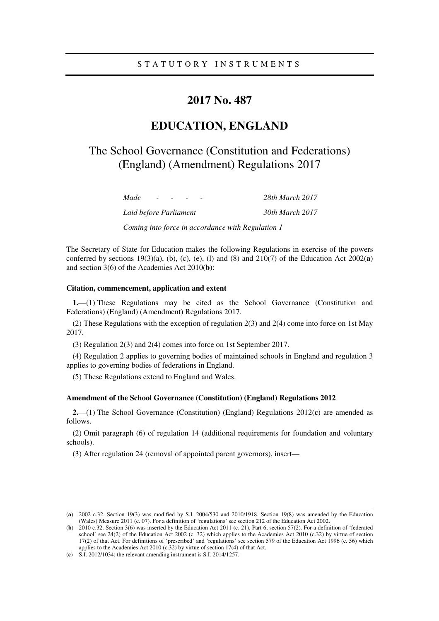## **2017 No. 487**

# **EDUCATION, ENGLAND**

# The School Governance (Constitution and Federations) (England) (Amendment) Regulations 2017

| Made                   | $\sim$ |  |  |  |  | 28th March 2017 |
|------------------------|--------|--|--|--|--|-----------------|
| Laid before Parliament |        |  |  |  |  | 30th March 2017 |

*Coming into force in accordance with Regulation 1* 

The Secretary of State for Education makes the following Regulations in exercise of the powers conferred by sections  $19(3)(a)$ , (b), (c), (e), (l) and (8) and  $210(7)$  of the Education Act  $2002(a)$ and section 3(6) of the Academies Act 2010(**b**):

### **Citation, commencement, application and extent**

**1.**—(1) These Regulations may be cited as the School Governance (Constitution and Federations) (England) (Amendment) Regulations 2017.

(2) These Regulations with the exception of regulation 2(3) and 2(4) come into force on 1st May 2017.

(3) Regulation 2(3) and 2(4) comes into force on 1st September 2017.

(4) Regulation 2 applies to governing bodies of maintained schools in England and regulation 3 applies to governing bodies of federations in England.

(5) These Regulations extend to England and Wales.

#### **Amendment of the School Governance (Constitution) (England) Regulations 2012**

**2.**—(1) The School Governance (Constitution) (England) Regulations 2012(**c**) are amended as follows.

(2) Omit paragraph (6) of regulation 14 (additional requirements for foundation and voluntary schools).

(3) After regulation 24 (removal of appointed parent governors), insert—

<u>.</u>

<sup>(</sup>**a**) 2002 c.32. Section 19(3) was modified by S.I. 2004/530 and 2010/1918. Section 19(8) was amended by the Education (Wales) Measure 2011 (c. 07). For a definition of 'regulations' see section 212 of the Education Act 2002.

<sup>(</sup>**b**) 2010 c.32. Section 3(6) was inserted by the Education Act 2011 (c. 21), Part 6, section 57(2). For a definition of 'federated school' see 24(2) of the Education Act 2002 (c. 32) which applies to the Academies Act 2010 (c.32) by virtue of section 17(2) of that Act. For definitions of 'prescribed' and 'regulations' see section 579 of the Education Act 1996 (c. 56) which applies to the Academies Act 2010 (c.32) by virtue of section 17(4) of that Act.

<sup>(</sup>**c**) S.I. 2012/1034; the relevant amending instrument is S.I. 2014/1257.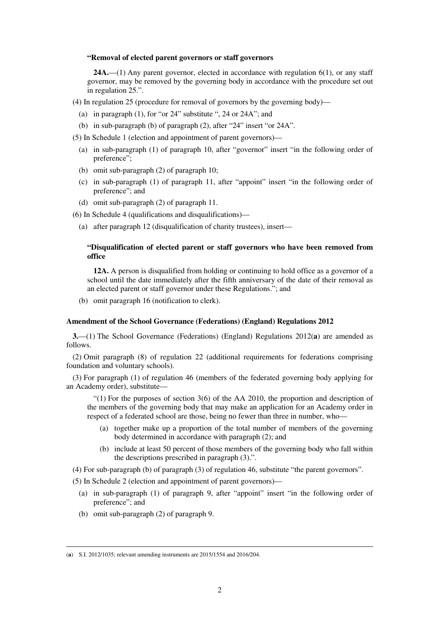#### **"Removal of elected parent governors or staff governors**

**24A.**—(1) Any parent governor, elected in accordance with regulation 6(1), or any staff governor, may be removed by the governing body in accordance with the procedure set out in regulation 25.".

- (4) In regulation 25 (procedure for removal of governors by the governing body)—
	- (a) in paragraph (1), for "or 24" substitute ", 24 or 24A"; and
	- (b) in sub-paragraph (b) of paragraph (2), after "24" insert "or 24A".
- (5) In Schedule 1 (election and appointment of parent governors)—
	- (a) in sub-paragraph (1) of paragraph 10, after "governor" insert "in the following order of preference";
	- (b) omit sub-paragraph (2) of paragraph 10;
	- (c) in sub-paragraph (1) of paragraph 11, after "appoint" insert "in the following order of preference"; and
	- (d) omit sub-paragraph (2) of paragraph 11.
- (6) In Schedule 4 (qualifications and disqualifications)—
	- (a) after paragraph 12 (disqualification of charity trustees), insert—

## **"Disqualification of elected parent or staff governors who have been removed from office**

**12A.** A person is disqualified from holding or continuing to hold office as a governor of a school until the date immediately after the fifth anniversary of the date of their removal as an elected parent or staff governor under these Regulations."; and

(b) omit paragraph 16 (notification to clerk).

## **Amendment of the School Governance (Federations) (England) Regulations 2012**

**3.**—(1) The School Governance (Federations) (England) Regulations 2012(**a**) are amended as follows.

(2) Omit paragraph (8) of regulation 22 (additional requirements for federations comprising foundation and voluntary schools).

(3) For paragraph (1) of regulation 46 (members of the federated governing body applying for an Academy order), substitute—

 $(1)$  For the purposes of section 3(6) of the AA 2010, the proportion and description of the members of the governing body that may make an application for an Academy order in respect of a federated school are those, being no fewer than three in number, who—

- (a) together make up a proportion of the total number of members of the governing body determined in accordance with paragraph (2); and
- (b) include at least 50 percent of those members of the governing body who fall within the descriptions prescribed in paragraph (3).".

(4) For sub-paragraph (b) of paragraph (3) of regulation 46, substitute "the parent governors".

(5) In Schedule 2 (election and appointment of parent governors)—

- (a) in sub-paragraph (1) of paragraph 9, after "appoint" insert "in the following order of preference"; and
- (b) omit sub-paragraph (2) of paragraph 9.

<u>.</u>

<sup>(</sup>**a**) S.I. 2012/1035; relevant amending instruments are 2015/1554 and 2016/204.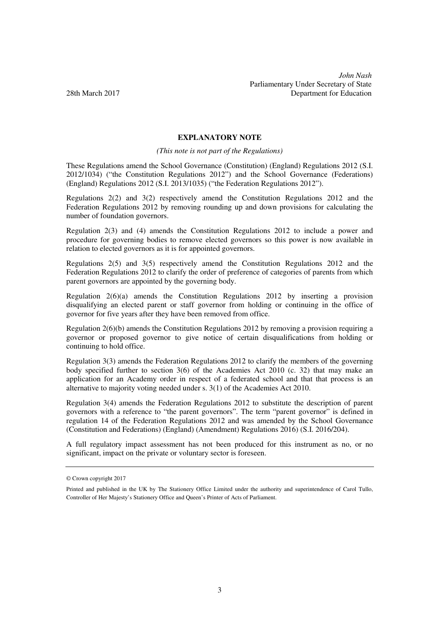## **EXPLANATORY NOTE**

*(This note is not part of the Regulations)* 

These Regulations amend the School Governance (Constitution) (England) Regulations 2012 (S.I. 2012/1034) ("the Constitution Regulations 2012") and the School Governance (Federations) (England) Regulations 2012 (S.I. 2013/1035) ("the Federation Regulations 2012").

Regulations 2(2) and 3(2) respectively amend the Constitution Regulations 2012 and the Federation Regulations 2012 by removing rounding up and down provisions for calculating the number of foundation governors.

Regulation 2(3) and (4) amends the Constitution Regulations 2012 to include a power and procedure for governing bodies to remove elected governors so this power is now available in relation to elected governors as it is for appointed governors.

Regulations 2(5) and 3(5) respectively amend the Constitution Regulations 2012 and the Federation Regulations 2012 to clarify the order of preference of categories of parents from which parent governors are appointed by the governing body.

Regulation 2(6)(a) amends the Constitution Regulations 2012 by inserting a provision disqualifying an elected parent or staff governor from holding or continuing in the office of governor for five years after they have been removed from office.

Regulation 2(6)(b) amends the Constitution Regulations 2012 by removing a provision requiring a governor or proposed governor to give notice of certain disqualifications from holding or continuing to hold office.

Regulation 3(3) amends the Federation Regulations 2012 to clarify the members of the governing body specified further to section 3(6) of the Academies Act 2010 (c. 32) that may make an application for an Academy order in respect of a federated school and that that process is an alternative to majority voting needed under s. 3(1) of the Academies Act 2010.

Regulation 3(4) amends the Federation Regulations 2012 to substitute the description of parent governors with a reference to "the parent governors". The term "parent governor" is defined in regulation 14 of the Federation Regulations 2012 and was amended by the School Governance (Constitution and Federations) (England) (Amendment) Regulations 2016) (S.I. 2016/204).

A full regulatory impact assessment has not been produced for this instrument as no, or no significant, impact on the private or voluntary sector is foreseen.

<sup>©</sup> Crown copyright 2017

Printed and published in the UK by The Stationery Office Limited under the authority and superintendence of Carol Tullo, Controller of Her Majesty's Stationery Office and Queen's Printer of Acts of Parliament.